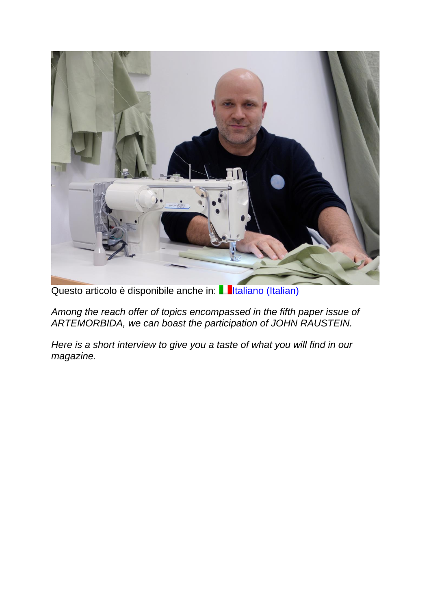

Questo articolo è disponibile anche in: Il Iltaliano [\(Italian\)](https://www.artemorbida.com/john-raustein-anticipazioni/)

*Among the reach offer of topics encompassed in the fifth paper issue of ARTEMORBIDA, we can boast the participation of JOHN RAUSTEIN.*

*Here is a short interview to give you a taste of what you will find in our magazine.*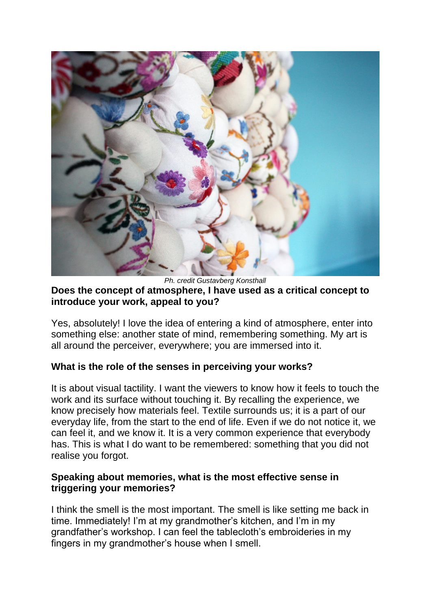

*Ph. credit Gustavberg Konsthall* **Does the concept of atmosphere, I have used as a critical concept to introduce your work, appeal to you?**

Yes, absolutely! I love the idea of entering a kind of atmosphere, enter into something else: another state of mind, remembering something. My art is all around the perceiver, everywhere; you are immersed into it.

### **What is the role of the senses in perceiving your works?**

It is about visual tactility. I want the viewers to know how it feels to touch the work and its surface without touching it. By recalling the experience, we know precisely how materials feel. Textile surrounds us; it is a part of our everyday life, from the start to the end of life. Even if we do not notice it, we can feel it, and we know it. It is a very common experience that everybody has. This is what I do want to be remembered: something that you did not realise you forgot.

### **Speaking about memories, what is the most effective sense in triggering your memories?**

I think the smell is the most important. The smell is like setting me back in time. Immediately! I'm at my grandmother's kitchen, and I'm in my grandfather's workshop. I can feel the tablecloth's embroideries in my fingers in my grandmother's house when I smell.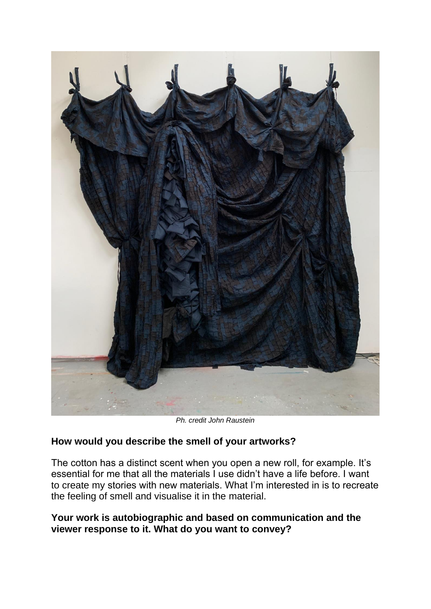

*Ph. credit John Raustein*

## **How would you describe the smell of your artworks?**

The cotton has a distinct scent when you open a new roll, for example. It's essential for me that all the materials I use didn't have a life before. I want to create my stories with new materials. What I'm interested in is to recreate the feeling of smell and visualise it in the material.

## **Your work is autobiographic and based on communication and the viewer response to it. What do you want to convey?**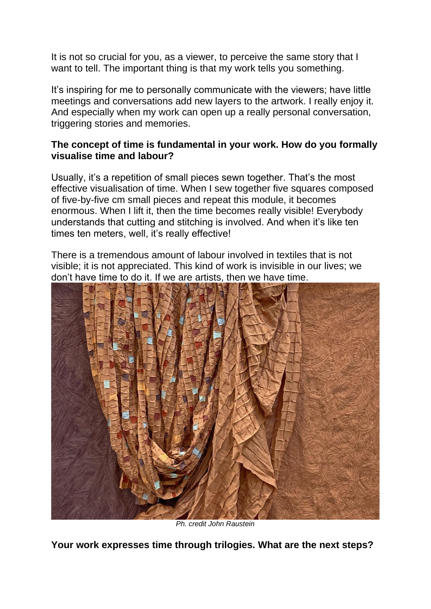It is not so crucial for you, as a viewer, to perceive the same story that I want to tell. The important thing is that my work tells you something.

It's inspiring for me to personally communicate with the viewers; have little meetings and conversations add new layers to the artwork. I really enjoy it. And especially when my work can open up a really personal conversation, triggering stories and memories.

# **The concept of time is fundamental in your work. How do you formally visualise time and labour?**

Usually, it's a repetition of small pieces sewn together. That's the most effective visualisation of time. When I sew together five squares composed of five-by-five cm small pieces and repeat this module, it becomes enormous. When I lift it, then the time becomes really visible! Everybody understands that cutting and stitching is involved. And when it's like ten times ten meters, well, it's really effective!

There is a tremendous amount of labour involved in textiles that is not visible; it is not appreciated. This kind of work is invisible in our lives; we don't have time to do it. If we are artists, then we have time.



*Ph. credit John Raustein*

**Your work expresses time through trilogies. What are the next steps?**